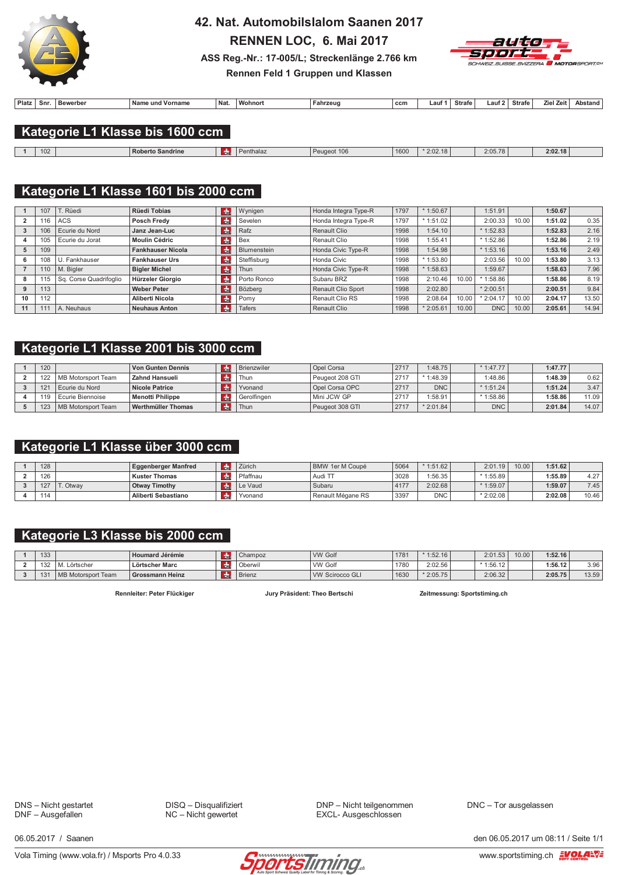

## 42. Nat. Automobilslalom Saanen 2017

RENNEN LOC, 6. Mai 2017



ASS Reg.-Nr.: 17-005/L; Streckenlänge 2.766 km Rennen Feld 1 Gruppen und Klassen

| Platz | Snr. | Bewerber | <b>Name</b><br>։ und Vornamա | Nat. | $\cdots$<br>Wohnort | Fahrzeu | , ccm | ∟auf | Strafe | ∟auf ≏ | <b>Strafe</b> | . .<br>انه7 اPir | າstand |
|-------|------|----------|------------------------------|------|---------------------|---------|-------|------|--------|--------|---------------|------------------|--------|
|       |      |          |                              |      |                     |         |       |      |        |        |               |                  |        |

### Kategorie L1 Klasse bis 1600 ccm

| 10 <sup>c</sup><br>IUZ. | l Roberto Sandrine | entnaiaz | 106<br>Pellaeo | 1600 | 0010<br>$*2:02.16$ | 2:05.78 | 2:02.18 |  |
|-------------------------|--------------------|----------|----------------|------|--------------------|---------|---------|--|
|                         |                    |          |                |      |                    |         |         |  |

## Kategorie L1 Klasse 1601 bis 2000 ccm

|    | 107 | T. Rüedi               | <b>Rüedi Tobias</b>      | CHE           | Wynigen       | Honda Integra Type-R      | 1797 | $*1:50.67$ |       | 1:51.91    |       | 1:50.67 |       |
|----|-----|------------------------|--------------------------|---------------|---------------|---------------------------|------|------------|-------|------------|-------|---------|-------|
|    | 16  | ACS                    | Posch Fredy              | <b>do</b>     | Sevelen       | Honda Integra Type-R      | 1797 | $*1:51.02$ |       | 2:00.33    | 10.00 | 1:51.02 | 0.35  |
|    | 106 | Ecurie du Nord         | Janz Jean-Luc            | $\frac{1}{2}$ | Rafz          | <b>Renault Clio</b>       | 1998 | 1:54.10    |       | $*1:52.83$ |       | 1:52.83 | 2.16  |
|    | 105 | Ecurie du Jorat        | <b>Moulin Cédric</b>     | <b>CHI</b>    | Bex           | Renault Clio              | 1998 | 1:55.41    |       | $*1:52.86$ |       | 1:52.86 | 2.19  |
|    | 109 |                        | <b>Fankhauser Nicola</b> | <b>d</b>      | Blumenstein   | Honda Civic Type-R        | 1998 | 1:54.98    |       | 1:53.16    |       | 1:53.16 | 2.49  |
| ь. | 108 | U. Fankhauser          | <b>Fankhauser Urs</b>    | <b>CHI</b>    | Steffisburg   | Honda Civic               | 1998 | $*1:53.80$ |       | 2:03.56    | 10.00 | 1:53.80 | 3.13  |
|    | 110 | M. Bialer              | <b>Bigler Michel</b>     | <b>de</b>     | Thun          | Honda Civic Type-R        | 1998 | $*1:58.63$ |       | 1:59.67    |       | 1:58.63 | 7.96  |
|    | 15  | Sq. Corse Quadrifoglio | Hürzeler Giorgio         | <b>do</b>     | Porto Ronco   | Subaru BRZ                | 1998 | 2:10.46    | 10.00 | 1:58.86    |       | 1:58.86 | 8.19  |
|    | 113 |                        | <b>Weber Peter</b>       | <b>do</b>     | Bözberg       | <b>Renault Clio Sport</b> | 1998 | 2:02.80    |       | $*2:00.51$ |       | 2:00.51 | 9.84  |
| 10 | 112 |                        | Aliberti Nicola          | rda.          | Pomy          | Renault Clio RS           | 1998 | 2:08.64    | 10.00 | 2:04.17    | 10.00 | 2:04.17 | 13.50 |
| 11 | 111 | A. Neuhaus             | <b>Neuhaus Anton</b>     | rdn.          | <b>Tafers</b> | <b>Renault Clio</b>       | 1998 | $*2:05.61$ | 10.00 | <b>DNC</b> | 10.00 | 2:05.61 | 14.94 |

### Kategorie L1 Klasse 2001 bis 3000 ccm

| 120 |                    | <b>Von Gunten Dennis</b> | <b>Brienzwiler</b> | Opel Corsa      | 2717 | 1:48.75    | $*1:47.77$ | 1:47.77 |       |
|-----|--------------------|--------------------------|--------------------|-----------------|------|------------|------------|---------|-------|
| 122 | MB Motorsport Team | Zahnd Hansueli           | Thun               | Peugeot 208 GTI | 271  | $*1:48.39$ | 1:48.86    | 1:48.39 | 0.62  |
| 10. | Ecurie du Nord     | <b>Nicole Patrice</b>    | Yvonand            | Opel Corsa OPC  | 2717 | <b>DNC</b> | $*1:51.24$ | 1:51.24 | 3.47  |
| 119 | Ecurie Biennoise   | Menotti Philippe         | Gerolfingen        | Mini JCW GP     | 2717 | :58.91     | $*1:58.86$ | 1:58.86 | 11.09 |
| 123 | MB Motorsport Team | Werthmüller Thomas       | Thun               | Peugeot 308 GTI | 2717 | $*2:01.84$ | <b>DNC</b> | 2:01.84 | 14.07 |

## Kategorie L1 Klasse über 3000 ccm

| 128      |         | <b>Eggenberger Manfred</b> | Zürich   | BMW 1er M Coupé   | 5064 | $*1:51.62$ | 2:01.19    | 10.00 | 1:51.62 |       |
|----------|---------|----------------------------|----------|-------------------|------|------------|------------|-------|---------|-------|
| 126      |         | <b>Kuster Thomas</b>       | Pfaffnau | Audi TT           | 3028 | 1:56.35    | $*1:55.89$ |       | 1:55.89 | 4.27  |
| 127<br>╶ | . Otwav | <b>Otway Timothy</b>       | Le Vaud  | Subaru            | 4177 | 2:02.68    | $*1:59.07$ |       | 1:59.07 | 7.45  |
| 114      |         | Aliberti Sebastiano        | Yvonand  | Renault Mégane RS | 3397 | <b>DNC</b> | $*2:02.08$ |       | 2:02.08 | 10.46 |

## Kategorie L3 Klasse bis 2000 ccm

| 133       |                    | <b>Houmard Jérémie</b> | Champoz       | <b>VW Golf</b>         | 1781 | $*1:52.16$ | 2:01.53    | 10.00 | 1:52.16 |       |
|-----------|--------------------|------------------------|---------------|------------------------|------|------------|------------|-------|---------|-------|
| 132<br>◡▵ | Lörtscher          | Lörtscher Marc         | Oberwi        | <b>VW Golf</b>         | 1780 | 2:02.56    | $*1:56.12$ |       | 1:56.12 | 3.96  |
| $\Lambda$ | MB Motorsport Team | Grossmann Heinz        | <b>Brienz</b> | <b>VW Scirocco GLI</b> | 1630 | $*2:05.75$ | 2:06.32    |       | 2:05.75 | 13.59 |

Rennleiter: Peter Flückiger

Jury Präsident: Theo Bertschi

Zeitmessung: Sportstiming.ch

DNS - Nicht gestartet DNF - Ausgefallen

DISQ - Disqualifiziert  $NC -$  Nicht gewertet

DNP - Nicht teilgenommen EXCL- Ausgeschlossen

DNC - Tor ausgelassen

06 05 2017 / Saanen



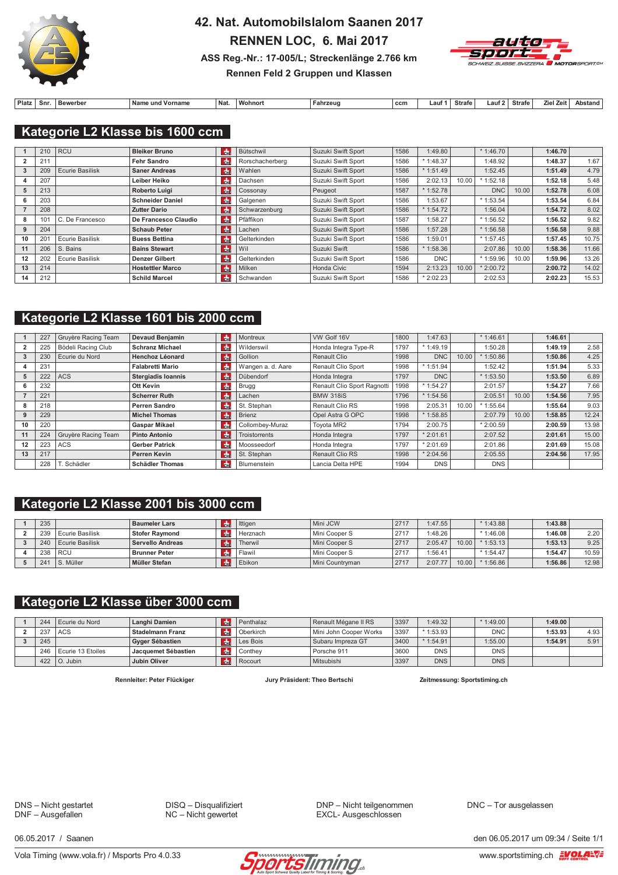

## 42. Nat. Automobilslalom Saanen 2017 RENNEN LOC, 6. Mai 2017 ASS Reg.-Nr.: 17-005/L; Streckenlänge 2.766 km



## Rennen Feld 2 Gruppen und Klassen

| Platz | Snr. | Bewerbe | ' Name<br><b>Vornam</b><br>: und | Nat. | ' Wohnor. | Fahrzeug | ccm | auf | Strafe | 211 | <b>Strafe</b> | 7iel | Ans.<br>ann. |
|-------|------|---------|----------------------------------|------|-----------|----------|-----|-----|--------|-----|---------------|------|--------------|

### Kategorie L2 Klasse bis 1600 ccm

|    | 210             | <b>RCU</b>             | <b>Bleiker Bruno</b>    | d <sub>n</sub> | Bütschwil       | Suzuki Swift Sport | 1586 | 1:49.80    |       | $*1:46.70$ |       | 1:46.70 |       |
|----|-----------------|------------------------|-------------------------|----------------|-----------------|--------------------|------|------------|-------|------------|-------|---------|-------|
|    | 211             |                        | Fehr Sandro             | $ch$           | Rorschacherberg | Suzuki Swift Sport | 1586 | $*1:48.37$ |       | 1:48.92    |       | 1:48.37 | 1.67  |
|    | 209             | <b>Ecurie Basilisk</b> | <b>Saner Andreas</b>    | $ch$           | Wahlen          | Suzuki Swift Sport | 1586 | $*1:51.49$ |       | 1:52.45    |       | 1:51.49 | 4.79  |
|    | 207             |                        | Leiber Heiko            | $n =$          | Dachsen         | Suzuki Swift Sport | 1586 | 2:02.13    | 10.00 | 1:52.18    |       | 1:52.18 | 5.48  |
|    | 213             |                        | Roberto Luigi           | <b>de</b>      | Cossonay        | Peugeot            | 1587 | $*1:52.78$ |       | <b>DNC</b> | 10.00 | 1:52.78 | 6.08  |
| 6  | 203             |                        | <b>Schneider Daniel</b> | $ch$           | Galgenen        | Suzuki Swift Sport | 1586 | 1:53.67    |       | $*1:53.54$ |       | 1:53.54 | 6.84  |
|    | 208             |                        | <b>Zutter Dario</b>     | de             | Schwarzenburg   | Suzuki Swift Sport | 1586 | $*1:54.72$ |       | 1:56.04    |       | 1:54.72 | 8.02  |
| 8  | 10 <sub>1</sub> | C. De Francesco        | De Francesco Claudio    | $\frac{1}{2}$  | Pfäffikon       | Suzuki Swift Sport | 1587 | :58.27     |       | $*1:56.52$ |       | 1:56.52 | 9.82  |
|    | 204             |                        | <b>Schaub Peter</b>     | l du           | Lachen          | Suzuki Swift Sport | 1586 | 1:57.28    |       | $*1:56.58$ |       | 1:56.58 | 9.88  |
| 10 | $20^{\circ}$    | <b>Ecurie Basilisk</b> | <b>Buess Bettina</b>    | $\frac{1}{2}$  | Gelterkinden    | Suzuki Swift Sport | 1586 | :59.01     |       | $*1:57.45$ |       | 1:57.45 | 10.75 |
| 11 | 206             | S. Bains               | <b>Bains Stewart</b>    | <b>do</b>      | Wil             | Suzuki Swift       | 1586 | $*1:58.36$ |       | 2:07.86    | 10.00 | 1:58.36 | 11.66 |
| 12 | 202             | <b>Ecurie Basilisk</b> | <b>Denzer Gilbert</b>   | $\frac{1}{2}$  | Gelterkinden    | Suzuki Swift Sport | 1586 | <b>DNC</b> |       | * 1:59.96  | 10.00 | 1:59.96 | 13.26 |
| 13 | 214             |                        | <b>Hostettler Marco</b> | <b>do</b>      | Milken          | Honda Civic        | 1594 | 2:13.23    | 10.00 | 2:00.72    |       | 2:00.72 | 14.02 |
| 14 | 212             |                        | <b>Schild Marcel</b>    | $\frac{1}{2}$  | Schwanden       | Suzuki Swift Sport | 1586 | $*2:02.23$ |       | 2:02.53    |       | 2:02.23 | 15.53 |

### Kategorie L2 Klasse 1601 bis 2000 ccm

|    | 227 | Gruyère Racing Team | <b>Devaud Benjamin</b>    | <b>de</b>             | Montreux             | VW Golf 16V                 | 1800 | 1:47.63    |       | $*1:46.61$ |       | 1:46.61 |       |
|----|-----|---------------------|---------------------------|-----------------------|----------------------|-----------------------------|------|------------|-------|------------|-------|---------|-------|
|    | 225 | Bödeli Racing Club  | <b>Schranz Michael</b>    | $rac{1}{100}$         | Wilderswil           | Honda Integra Type-R        | 1797 | $*1:49.19$ |       | 1:50.28    |       | 1:49.19 | 2.58  |
|    | 230 | Ecurie du Nord      | <b>Henchoz Léonard</b>    | <b>d</b> <sub>n</sub> | Gollion              | Renault Clio                | 1998 | <b>DNC</b> | 10.00 | 1:50.86    |       | 1:50.86 | 4.25  |
|    | 231 |                     | <b>Falabretti Mario</b>   | de                    | Wangen a. d. Aare    | Renault Clio Sport          | 1998 | $*1:51.94$ |       | 1:52.42    |       | 1:51.94 | 5.33  |
|    | 222 | <b>ACS</b>          | <b>Stergiadis Ioannis</b> | <b>de</b>             | Dübendorf            | Honda Integra               | 1797 | <b>DNC</b> |       | $*1:53.50$ |       | 1:53.50 | 6.89  |
|    | 232 |                     | Ott Kevin                 | $H_{\rm H}$           | <b>Brugg</b>         | Renault Clio Sport Ragnotti | 1998 | $*1:54.27$ |       | 2:01.57    |       | 1:54.27 | 7.66  |
|    | 221 |                     | <b>Scherrer Ruth</b>      | <b>de</b>             | Lachen               | <b>BMW 318iS</b>            | 1796 | $*1:54.56$ |       | 2:05.51    | 10.00 | 1:54.56 | 7.95  |
|    | 218 |                     | Perren Sandro             | <b>d</b>              | St. Stephan          | Renault Clio RS             | 1998 | 2:05.31    | 10.00 | 1:55.64    |       | 1:55.64 | 9.03  |
|    | 229 |                     | <b>Michel Thomas</b>      | <b>de</b>             | <b>Brienz</b>        | Opel Astra G OPC            | 1998 | $*1:58.85$ |       | 2:07.79    | 10.00 | 1:58.85 | 12.24 |
| 10 | 220 |                     | <b>Gaspar Mikael</b>      | <b>d</b> <sub>n</sub> | Collombey-Muraz      | Toyota MR2                  | 1794 | 2:00.75    |       | $*2:00.59$ |       | 2:00.59 | 13.98 |
| 11 | 224 | Gruyère Racing Team | <b>Pinto Antonio</b>      | l da                  | <b>Troistorrents</b> | Honda Integra               | 1797 | $*2:01.61$ |       | 2:07.52    |       | 2:01.61 | 15.00 |
| 12 | 223 | <b>ACS</b>          | <b>Gerber Patrick</b>     | de                    | Moosseedorf          | Honda Integra               | 1797 | $*2:01.69$ |       | 2:01.86    |       | 2:01.69 | 15.08 |
| 13 | 217 |                     | <b>Perren Kevin</b>       | $ch$                  | St. Stephan          | <b>Renault Clio RS</b>      | 1998 | $*2:04.56$ |       | 2:05.55    |       | 2:04.56 | 17.95 |
|    | 228 | T. Schädler         | <b>Schädler Thomas</b>    | <b>d</b> <sub>n</sub> | Blumenstein          | Lancia Delta HPE            | 1994 | <b>DNS</b> |       | <b>DNS</b> |       |         |       |

### Kategorie L2 Klasse 2001 bis 3000 ccm

| 235 |                   | <b>Baumeler Lars</b>  | Ittigen       | Mini JCW          | 2717 | 1:47.55 |       | $* 1:43.88$ | 1:43.88 |       |
|-----|-------------------|-----------------------|---------------|-------------------|------|---------|-------|-------------|---------|-------|
| 239 | l Ecurie Basilisk | <b>Stofer Raymond</b> | l Herznach    | Mini Cooper S     | 2717 | 1:48.26 |       | $*1:46.08$  | 1:46.08 | 2.20  |
| 240 | Ecurie Basilisk   | Servello Andreas      | Therwil       | Mini Cooper S     | 2717 | 2:05.47 | 10.00 | 1:53.13     | 1:53.13 | 9.25  |
| 238 | l RCU             | <b>Brunner Peter</b>  | `Flawil       | Mini Cooper S     | 2717 | 1:56.41 |       | $*1:54.47$  | 1:54.47 | 10.59 |
| 241 | S. Müller         | Müller Stefan         | <b>Ebikon</b> | l Mini Countryman | 2717 | 2:07.77 | 10.00 | 1:56.86     | 1:56.86 | 12.98 |

### Kategorie L2 Klasse über 3000 ccm

| 244 | Ecurie du Nord        | Langhi Damien           | Penthalaz | Renault Mégane II RS   | 3397 | 1:49.32    | $*1:49.00$ | 1:49.00 |      |
|-----|-----------------------|-------------------------|-----------|------------------------|------|------------|------------|---------|------|
| 237 | <b>LACS</b>           | <b>Stadelmann Franz</b> | Oberkirch | Mini John Cooper Works | 3397 | $*1:53.93$ | <b>DNC</b> | 1:53.93 | 4.93 |
| 245 |                       | Gyger Sébastien         | Les Bois  | Subaru Impreza GT      | 3400 | $*1:54.91$ | 1:55.00    | 1:54.91 | 5.91 |
|     | 246 Ecurie 13 Etoiles | Jacquemet Sébastien     | Conthev   | Porsche 911            | 3600 | <b>DNS</b> | <b>DNS</b> |         |      |
|     | $422$   O. Jubin      | <b>Jubin Oliver</b>     | Rocourt   | Mitsubishi             | 3397 | <b>DNS</b> | <b>DNS</b> |         |      |

Rennleiter: Peter Flückiger

Jury Präsident: Theo Bertschi

Zeitmessung: Sportstiming.ch

DNS - Nicht gestartet DNF - Ausgefallen

DISQ - Disqualifiziert  $NC -$  Nicht gewertet

DNP - Nicht teilgenommen EXCL- Ausgeschlossen

DNC - Tor ausgelassen

06 05 2017 / Saanen

Vola Timing (www.vola.fr) / Msports Pro 4.0.33



den 06.05.2017 um 09:34 / Seite 1/1 www.sportstiming.ch EVOLA-VE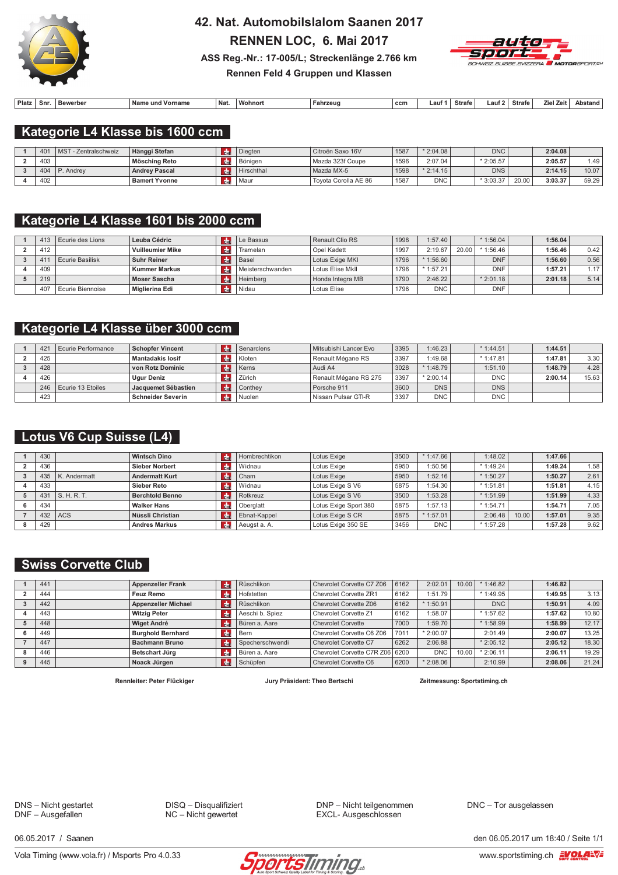

# 42. Nat. Automobilslalom Saanen 2017 RENNEN LOC, 6. Mai 2017



ASS Reg.-Nr.: 17-005/L; Streckenlänge 2.766 km Rennen Feld 4 Gruppen und Klassen

| Platz | Snr | ewerber<br><b>Rov</b> | <b>Name</b><br>und Vorname | Nat. | $381-$<br>wonnor | Fahrzeug | ccm | aut | Strafe | ∟auf 2 | Strafe | Ziel Zeit | <b>\bstand</b> |
|-------|-----|-----------------------|----------------------------|------|------------------|----------|-----|-----|--------|--------|--------|-----------|----------------|
|       |     |                       |                            |      |                  |          |     |     |        |        |        |           |                |

### Kategorie L4 Klasse bis 1600 ccm

| 401 | <b>MST</b><br>- Zentralschweiz | Hänggi Stefan        | Diegten    | Citroën Saxo 16V     | 1587 | $*2:04.08$ | <b>DNC</b> |       | 2:04.08 |       |
|-----|--------------------------------|----------------------|------------|----------------------|------|------------|------------|-------|---------|-------|
| 403 |                                | Mösching Reto        | l Böniaen  | Mazda 323f Coupe     | 1596 | 2:07.04    | $*2:05.57$ |       | 2:05.57 | 1.49  |
| 404 | I P. Andrev                    | <b>Andrey Pascal</b> | Hirschthal | Mazda MX-5           | 1598 | $*2:14.15$ | <b>DNS</b> |       | 2:14.15 | 10.07 |
| 402 |                                | <b>Bamert Yvonne</b> | l Maur     | Tovota Corolla AE 86 | 1587 | <b>DNC</b> | $*3:03.37$ | 20.00 | 3:03.37 | 59.29 |

### Kategorie L4 Klasse 1601 bis 2000 ccm

| 413 | Ecurie des Lions   | Leuba Cédric         | Le Bassus          | Renault Clio RS  | 1998 | 1:57.40    |       | $*1:56.04$ | 1:56.04 |                   |
|-----|--------------------|----------------------|--------------------|------------------|------|------------|-------|------------|---------|-------------------|
| 412 |                    | Vuilleumier Mike     | Tramelan           | Opel Kadett      | 1997 | 2:19.67    | 20.00 | 1:56.46    | 1:56.46 | 0.42              |
| 41  | Ecurie Basilisk    | Suhr Reiner          | Basel              | Lotus Exige MKI  | 1796 | $*1:56.60$ |       | <b>DNF</b> | 1:56.60 | 0.56              |
| 409 |                    | <b>Kummer Markus</b> | i Meisterschwanden | Lotus Elise Mkll | 1796 | $*1:57.21$ |       | <b>DNF</b> | 1:57.21 | 1.17 <sub>1</sub> |
| 219 |                    | Moser Sascha         | Heimberg           | Honda Integra MB | 1790 | 2:46.22    |       | $*2:01.18$ | 2:01.18 | 5.14              |
| 407 | l Ecurie Biennoise | Miglierina Edi       | Nidau              | Lotus Elise      | 1796 | <b>DNC</b> |       | DNF        |         |                   |

#### Kategorie L4 Klasse über 3000 ccm

| 421 | Ecurie Performance    | <b>Schopfer Vincent</b>  | Senarclens     | Mitsubishi Lancer Evo | 3395 | 1:46.23    | $*1:44.51$ | 1:44.51 |       |
|-----|-----------------------|--------------------------|----------------|-----------------------|------|------------|------------|---------|-------|
| 425 |                       | <b>Mantadakis losif</b>  | Kloten         | Renault Mégane RS     | 3397 | :49.68     | $*1:47.81$ | 1:47.81 | 3.30  |
| 428 |                       | von Rotz Dominic         | Kerns          | Audi A4               | 3028 | $*1:48.79$ | 1:51.10    | 1:48.79 | 4.28  |
| 426 |                       | <b>Ugur Deniz</b>        | Zürich         | Renault Mégane RS 275 | 3397 | $*2:00.14$ | DNC,       | 2:00.14 | 15.63 |
|     | 246 Ecurie 13 Etoiles | Jacquemet Sébastien      | <b>Conthey</b> | Porsche 911           | 3600 | <b>DNS</b> | <b>DNS</b> |         |       |
| 423 |                       | <b>Schneider Severin</b> | Nuolen         | Nissan Pulsar GTI-R   | 3397 | <b>DNC</b> | DNC        |         |       |

### Lotus V6 Cup Suisse (L4)

| 430 |              | <b>Wintsch Dino</b>    | dh. | Hombrechtikon | Lotus Exige           | 3500 | $*1:47.66$ | 1:48.02    |       | 1:47.66 |      |
|-----|--------------|------------------------|-----|---------------|-----------------------|------|------------|------------|-------|---------|------|
| 436 |              | <b>Sieber Norbert</b>  |     | Widnau        | Lotus Exige           | 5950 | :50.56     | $*1:49.24$ |       | 1:49.24 | 1.58 |
| 435 | K. Andermatt | <b>Andermatt Kurt</b>  |     | Cham          | Lotus Exige           | 5950 | 1:52.16    | $*1:50.27$ |       | 1:50.27 | 2.61 |
| 433 |              | Sieber Reto            |     | Widnau        | Lotus Exige S V6      | 5875 | :54.30     | $*1:51.81$ |       | 1:51.81 | 4.15 |
| 431 | S.H.R.T.     | <b>Berchtold Benno</b> |     | Rotkreuz      | Lotus Exige S V6      | 3500 | 1:53.28    | $*1:51.99$ |       | 1:51.99 | 4.33 |
| 434 |              | <b>Walker Hans</b>     |     | Oberglatt     | Lotus Exige Sport 380 | 5875 | :57.13     | $*1:54.71$ |       | 1:54.71 | 7.05 |
| 432 | <b>ACS</b>   | Nüssli Christian       | dhe | Ebnat-Kappel  | Lotus Exige S CR      | 5875 | $*1:57.01$ | 2:06.48    | 10.00 | 1:57.01 | 9.35 |
| 429 |              | <b>Andres Markus</b>   |     | Aeugst a. A.  | Lotus Exige 350 SE    | 3456 | <b>DNC</b> | $*1:57.28$ |       | 1:57.28 | 9.62 |

### **Swiss Corvette Club**

| 441 | <b>Appenzeller Frank</b>   | <b>d</b>   | Rüschlikon      | Chevrolet Corvette C7 Z06       | 6162 | 2:02.01    | 10.00 | $*$ 1:46.82 | 1:46.82 |       |
|-----|----------------------------|------------|-----------------|---------------------------------|------|------------|-------|-------------|---------|-------|
| 444 | Feuz Remo                  | <b>CHI</b> | Hofstetten      | Chevrolet Corvette ZR1          | 6162 | 1:51.79    |       | $*1:49.95$  | 1:49.95 | 3.13  |
| 442 | <b>Appenzeller Michael</b> | $th$       | Rüschlikon      | Chevrolet Corvette Z06          | 6162 | $*1:50.91$ |       | <b>DNC</b>  | 1:50.91 | 4.09  |
| 443 | <b>Witzig Peter</b>        | <b>CHI</b> | Aeschi b. Spiez | Chevrolet Corvette Z1           | 6162 | 1:58.07    |       | $*1:57.62$  | 1:57.62 | 10.80 |
| 448 | <b>Wiget André</b>         | <b>R</b>   | Büren a. Aare   | <b>Chevrolet Corvette</b>       | 7000 | 1:59.70    |       | $*1:58.99$  | 1:58.99 | 12.17 |
| 449 | <b>Burghold Bernhard</b>   | l de       | Bern            | Chevrolet Corvette C6 Z06       | 701' | $*2:00.07$ |       | 2:01.49     | 2:00.07 | 13.25 |
| 447 | <b>Bachmann Bruno</b>      | <b>CHI</b> | Specherschwendi | Chevrolet Corvette C7           | 6262 | 2:06.88    |       | $*2:05.12$  | 2:05.12 | 18.30 |
| 446 | Betschart Jürg             | - de       | Büren a. Aare   | Chevrolet Corvette C7R Z06 6200 |      | <b>DNC</b> | 10.00 | $*2:06.11$  | 2:06.11 | 19.29 |
| 445 | Noack Jürgen               | rdni       | Schüpfen        | Chevrolet Corvette C6           | 6200 | $*2:08.06$ |       | 2:10.99     | 2:08.06 | 21.24 |
|     |                            |            |                 |                                 |      |            |       |             |         |       |

Rennleiter: Peter Flückiger

Jury Präsident: Theo Bertschi

Zeitmessung: Sportstiming.ch

DNS - Nicht gestartet DNF - Ausgefallen

DISQ - Disqualifiziert  $NC -$  Nicht gewertet

DNP - Nicht teilgenommen EXCL- Ausgeschlossen

DNC - Tor ausgelassen

06 05 2017 / Saanen

Vola Timing (www.vola.fr) / Msports Pro 4.0.33



den 06.05.2017 um 18:40 / Seite 1/1 www.sportstiming.ch EVOLA-VE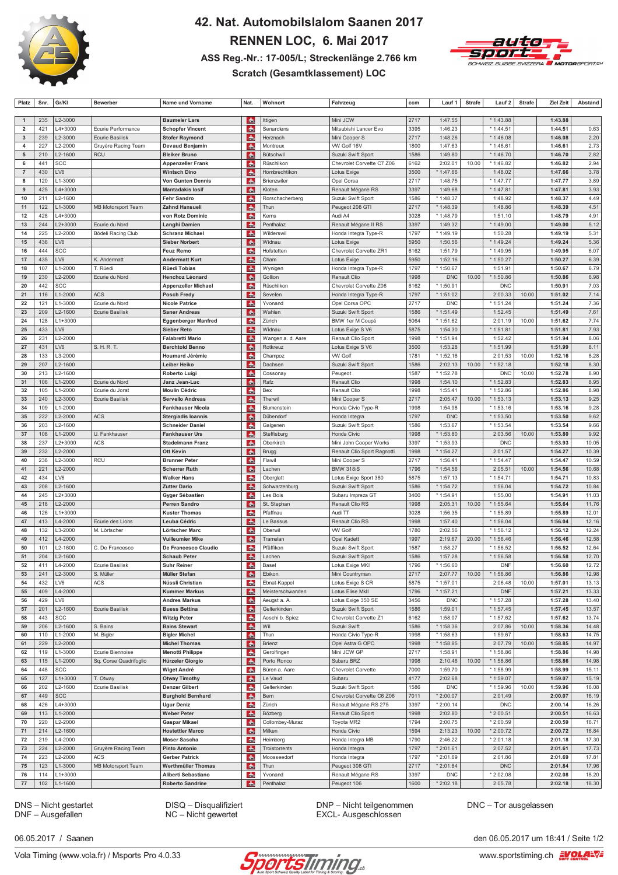

## 42. Nat. Automobilslalom Saanen 2017 RENNEN LOC, 6. Mai 2017 ASS Reg.-Nr.: 17-005/L; Streckenlänge 2.766 km



#### **Scratch (Gesamtklassement) LOC**

| Platz                                   | Snr.       | Gr/KI                  | <b>Bewerber</b>                    | Name und Vorname                                 | Nat.                       | Wohnort                         | Fahrzeug                                    | ccm          | Lauf 1             | <b>Strafe</b> | Lauf 2                 | <b>Strafe</b> | <b>Ziel Zeit</b>   | Abstand        |
|-----------------------------------------|------------|------------------------|------------------------------------|--------------------------------------------------|----------------------------|---------------------------------|---------------------------------------------|--------------|--------------------|---------------|------------------------|---------------|--------------------|----------------|
|                                         |            |                        |                                    |                                                  |                            |                                 |                                             |              |                    |               |                        |               |                    |                |
| $\mathbf{1}$                            | 235        | L2-3000                | Ecurie Performance                 | <b>Baumeler Lars</b>                             | du.                        | Ittigen                         | Mini JCW<br>Mitsubishi Lancer Evo           | 2717<br>3395 | 1:47.55<br>1:46.23 |               | * 1:43.88              |               | 1:43.88            | 0.63           |
| $\overline{\mathbf{2}}$<br>$\mathbf{3}$ | 421<br>239 | L4+3000<br>L2-3000     | Ecurie Basilisk                    | <b>Schopfer Vincent</b><br><b>Stofer Raymond</b> | dh.<br>d.                  | Senarclens<br>Herznach          | Mini Cooper S                               | 2717         | 1:48.26            |               | * 1:44.51<br>* 1:46.08 |               | 1:44.51<br>1:46.08 | 2.20           |
| 4                                       | 227        | L2-2000                | Gruyère Racing Team                | Devaud Benjamin                                  | d.                         | Montreux                        | VW Golf 16V                                 | 1800         | 1:47.63            |               | $*1:46.6$              |               | 1:46.61            | 2.73           |
| 5                                       | 210        | L2-1600                | <b>RCU</b>                         | <b>Bleiker Bruno</b>                             | $\frac{1}{2}$              | Bütschwil                       | Suzuki Swift Sport                          | 1586         | 1:49.80            |               | * 1:46.70              |               | 1:46.70            | 2.82           |
| 6                                       | 441        | SCC                    |                                    | <b>Appenzeller Frank</b>                         | $\frac{1}{2}$              | Rüschlikon                      | Chevrolet Corvette C7 Z06                   | 6162         | 2:02.01            | 10.00         | * 1:46.82              |               | 1:46.82            | 2.94           |
| $\overline{7}$                          | 430        | LV6                    |                                    | <b>Wintsch Dino</b>                              | <b>de</b>                  | Hombrechtikon                   | Lotus Exige                                 | 3500         | * 1:47.66          |               | 1:48.02                |               | 1:47.66            | 3.78           |
| 8                                       | 120        | L1-3000                |                                    | <b>Von Gunten Dennis</b>                         | d.                         | Brienzwiler                     | Opel Corsa                                  | 2717         | 1:48.75            |               | * 1:47.77              |               | 1:47.77            | 3.89           |
| 9                                       | 425        | $L4 + 3000$            |                                    | <b>Mantadakis losif</b>                          | 击                          | Kloten                          | Renault Mégane RS                           | 3397         | 1:49.68            |               | * 1:47.81              |               | 1:47.81            | 3.93           |
| 10                                      | 211        | L2-1600                |                                    | <b>Fehr Sandro</b>                               | <b>de</b>                  | Rorschacherberg                 | Suzuki Swift Sport                          | 1586         | * 1:48.37          |               | 1:48.92                |               | 1:48.37            | 4.49           |
| 11                                      | 122        | L1-3000                | <b>MB Motorsport Team</b>          | <b>Zahnd Hansueli</b>                            | 肅                          | Thun                            | Peugeot 208 GTI                             | 2717         | * 1:48.39          |               | 1:48.86                |               | 1:48.39            | 4.51           |
| 12                                      | 428        | L4+3000                |                                    | von Rotz Dominic                                 | do.                        | Kerns                           | Audi A4                                     | 3028         | * 1:48.79          |               | 1:51.10                |               | 1:48.79            | 4.91           |
| 13                                      | 244        | $L2 + 3000$            | Ecurie du Nord                     | Langhi Damien                                    | d.                         | Penthalaz                       | Renault Mégane II RS                        | 3397         | 1:49.32            |               | * 1:49.00              |               | 1:49.00            | 5.12           |
| 14                                      | 225        | L2-2000                | Bödeli Racing Club                 | <b>Schranz Michael</b>                           | d.                         | Wilderswil                      | Honda Integra Type-R                        | 1797         | * 1:49.19          |               | 1:50.28                |               | 1:49.19            | 5.31           |
| 15<br>16                                | 436<br>444 | LV6<br>SCC             |                                    | <b>Sieber Norbert</b><br><b>Feuz Remo</b>        | <b>de</b>                  | Widnau<br>Hofstetten            | Lotus Exige<br>Chevrolet Corvette ZR1       | 5950<br>6162 | 1:50.56<br>1:51.79 |               | * 1:49.24<br>* 1:49.95 |               | 1:49.24<br>1:49.95 | 5.36<br>6.07   |
| 17                                      | 435        | LV6                    | K. Andermatt                       | <b>Andermatt Kurt</b>                            | d.<br><b>do</b>            | Cham                            | Lotus Exige                                 | 5950         | 1:52.16            |               | * 1:50.27              |               | 1:50.27            | 6.39           |
| 18                                      | 107        | $L1 - 2000$            | T. Rüedi                           | <b>Rüedi Tobias</b>                              | du.                        | Wynigen                         | Honda Integra Type-R                        | 1797         | * 1:50.67          |               | 1:51.91                |               | 1:50.67            | 6.79           |
| 19                                      | 230        | L2-2000                | Ecurie du Nord                     | Henchoz Léonard                                  | d.                         | Gollion                         | Renault Clio                                | 1998         | <b>DNC</b>         | 10.00         | * 1:50.86              |               | 1:50.86            | 6.98           |
| 20                                      | 442        | SCC                    |                                    | <b>Appenzeller Michael</b>                       | <b>de</b>                  | Rüschlikon                      | Chevrolet Corvette Z06                      | 6162         | * 1:50.91          |               | <b>DNC</b>             |               | 1:50.91            | 7.03           |
| 21                                      | 116        | $L1 - 2000$            | <b>ACS</b>                         | <b>Posch Fredy</b>                               | $\frac{1}{2}$              | Sevelen                         | Honda Integra Type-R                        | 1797         | * 1:51.02          |               | 2:00.33                | 10.00         | 1:51.02            | 7.14           |
| 22                                      | 121        | L1-3000                | Ecurie du Nord                     | <b>Nicole Patrice</b>                            | <b>de</b>                  | Yvonand                         | Opel Corsa OPC                              | 2717         | <b>DNC</b>         |               | * 1:51.24              |               | 1:51.24            | 7.36           |
| 23                                      | 209        | L2-1600                | Ecurie Basilisk                    | <b>Saner Andreas</b>                             | d.                         | Wahlen                          | Suzuki Swift Sport                          | 1586         | $*1:51.49$         |               | 1:52.45                |               | 1:51.49            | 7.61           |
| 24                                      | 128        | $L1 + 3000$            |                                    | <b>Eggenberger Manfred</b>                       | 击                          | Zürich                          | BMW 1er M Coupé                             | 5064         | * 1:51.62          |               | 2:01.19                | 10.00         | 1:51.62            | 7.74           |
| 25                                      | 433        | LV6                    |                                    | <b>Sieber Reto</b>                               | du.                        | Widnau                          | Lotus Exige S V6                            | 5875         | 1:54.30            |               | $*1:51.8'$             |               | 1:51.81            | 7.93           |
| 26                                      | 231        | L2-2000                |                                    | <b>Falabretti Mario</b>                          | <b>de</b>                  | Wangen a. d. Aare               | Renault Clio Sport                          | 1998         | * 1:51.94          |               | 1:52.42                |               | 1:51.94            | 8.06           |
| 27                                      | 431        | LV6                    | S. H. R. T.                        | <b>Berchtold Benno</b>                           | <b>de</b>                  | Rotkreuz                        | Lotus Exige S V6                            | 3500         | 1:53.28            |               | * 1:51.99              |               | 1:51.99            | 8.11           |
| 28                                      | 133        | L3-2000                |                                    | Houmard Jérémie                                  | du.                        | Champoz                         | <b>VW Golf</b>                              | 1781         | * 1:52.16          |               | 2:01.53                | 10.00         | 1:52.16            | 8.28           |
| 29                                      | 207        | L2-1600                |                                    | Leiber Heiko                                     | 击                          | Dachsen                         | Suzuki Swift Sport                          | 1586         | 2:02.13            | 10.00         | * 1:52.18              |               | 1:52.18            | 8.30           |
| 30                                      | 213        | L2-1600                |                                    | <b>Roberto Luigi</b>                             | du.                        | Cossonay                        | Peugeot                                     | 1587         | * 1:52.78          |               | <b>DNC</b>             | 10.00         | 1:52.78            | 8.90           |
| 31                                      | 106        | $L1 - 2000$            | Ecurie du Nord                     | Janz Jean-Luc                                    | du.                        | Rafz                            | Renault Clio                                | 1998         | 1:54.10            |               | * 1:52.83              |               | 1:52.83            | 8.95           |
| 32<br>33                                | 105<br>240 | L1-2000<br>L2-3000     | Ecurie du Jorat<br>Ecurie Basilisk | <b>Moulin Cédric</b><br><b>Servello Andreas</b>  | <b>do</b><br>肅             | Bex<br>Therwil                  | Renault Clio<br>Mini Cooper S               | 1998<br>2717 | 1:55.41<br>2:05.47 | 10.00         | * 1:52.86<br>* 1:53.13 |               | 1:52.86<br>1:53.13 | 8.98<br>9.25   |
| 34                                      | 109        | L1-2000                |                                    | <b>Fankhauser Nicola</b>                         | d.                         | Blumenstein                     | Honda Civic Type-R                          | 1998         | 1:54.98            |               | * 1:53.16              |               | 1:53.16            | 9.28           |
| 35                                      | 222        | L2-2000                | <b>ACS</b>                         | <b>Stergiadis loannis</b>                        | du.                        | Dübendorf                       | Honda Integra                               | 1797         | <b>DNC</b>         |               | * 1:53.50              |               | 1:53.50            | 9.62           |
| 36                                      | 203        | L2-1600                |                                    | <b>Schneider Daniel</b>                          | <b>de</b>                  | Galgenen                        | Suzuki Swift Sport                          | 1586         | 1:53.67            |               | * 1:53.54              |               | 1:53.54            | 9.66           |
| 37                                      | 108        | L1-2000                | U. Fankhauser                      | <b>Fankhauser Urs</b>                            | ¦da.                       | Steffisburg                     | Honda Civic                                 | 1998         | * 1:53.80          |               | 2:03.56                | 10.00         | 1:53.80            | 9.92           |
| 38                                      | 237        | L2+3000                | <b>ACS</b>                         | <b>Stadelmann Franz</b>                          | 肅                          | Oberkirch                       | Mini John Cooper Works                      | 3397         | * 1:53.93          |               | <b>DNC</b>             |               | 1:53.93            | 10.05          |
| 39                                      | 232        | L2-2000                |                                    | <b>Ott Kevin</b>                                 | d.                         | <b>Brugg</b>                    | Renault Clio Sport Ragnotti                 | 1998         | * 1:54.27          |               | 2:01.57                |               | 1:54.27            | 10.39          |
| 40                                      | 238        | L2-3000                | <b>RCU</b>                         | <b>Brunner Peter</b>                             | $\frac{1}{2}$              | Flawil                          | Mini Cooper S                               | 2717         | 1:56.41            |               | * 1:54.47              |               | 1:54.47            | 10.59          |
| 41                                      | 221        | L2-2000                |                                    | <b>Scherrer Ruth</b>                             | $\frac{1}{2}$              | Lachen                          | <b>BMW 318iS</b>                            | 1796         | * 1:54.56          |               | 2:05.5'                | 10.00         | 1:54.56            | 10.68          |
| 42                                      | 434        | LV6                    |                                    | <b>Walker Hans</b>                               | <b>das</b>                 | Oberglatt                       | Lotus Exige Sport 380                       | 5875         | 1:57.13            |               | * 1:54.71              |               | 1:54.71            | 10.83          |
| 43                                      | 208        | L2-1600                |                                    | <b>Zutter Dario</b>                              | d.                         | Schwarzenburg                   | Suzuki Swift Sport                          | 1586         | * 1:54.72          |               | 1:56.04                |               | 1:54.72            | 10.84          |
| 44<br>45                                | 245<br>218 | $L2 + 3000$            |                                    | Gyger Sébastien                                  | d.                         | Les Bois                        | Subaru Impreza GT                           | 3400<br>1998 | * 1:54.91          | 10.00         | 1:55.00                |               | 1:54.91            | 11.03          |
| 46                                      | 126        | L2-2000<br>$L1 + 3000$ |                                    | <b>Perren Sandro</b><br><b>Kuster Thomas</b>     | d.<br>du.                  | St. Stephan<br>Pfaffnau         | Renault Clio RS<br>Audi TT                  | 3028         | 2:05.31<br>1:56.35 |               | * 1:55.64<br>* 1:55.89 |               | 1:55.64<br>1:55.89 | 11.76<br>12.01 |
| 47                                      | 413        | L4-2000                | Ecurie des Lions                   | Leuba Cédric                                     | <b>das</b>                 | Le Bassus                       | Renault Clio RS                             | 1998         | 1:57.40            |               | * 1:56.04              |               | 1:56.04            | 12.16          |
| 48                                      | 132        | L3-2000                | M. Lörtscher                       | Lörtscher Marc                                   | $\frac{1}{2}$              | Oberwil                         | <b>VW Golf</b>                              | 1780         | 2:02.56            |               | * 1:56.12              |               | 1:56.12            | 12.24          |
| 49                                      | 412        | L4-2000                |                                    | Vuilleumier Mike                                 | dh.                        | Tramelan                        | Opel Kadett                                 | 1997         | 2:19.67            | 20.00         | * 1:56.46              |               | 1:56.46            | 12.58          |
| 50                                      | 101        | L2-1600                | C. De Francesco                    | De Francesco Claudio                             | du.                        | Pfäffikon                       | Suzuki Swift Sport                          | 1587         | 1:58.27            |               | * 1:56.52              |               | 1:56.52            | 12.64          |
| 51                                      | 204        | L2-1600                |                                    | <b>Schaub Peter</b>                              | $\frac{1}{2}$              | Lachen                          | Suzuki Swift Sport                          | 1586         | 1:57.28            |               | * 1:56.58              |               | 1:56.58            | 12.70          |
| 52                                      | 411        | L4-2000                | Ecurie Basilisk                    | <b>Suhr Reiner</b>                               | CHE                        | Basel                           | Lotus Exige MKI                             | 1796         | * 1:56.60          |               | DNF                    |               | 1:56.60            | 12.72          |
| 53                                      | 241        | L2-3000                | S. Müller                          | Müller Stefan                                    | <b>CHE</b>                 | Ebikon                          | Mini Countryman                             | 2717         | 2:07.77            | 10.00         | * 1:56.86              |               | 1:56.86            | 12.98          |
| 54                                      | 432        | LV6                    | <b>ACS</b>                         | Nüssli Christian                                 | dhe                        | Ebnat-Kappel                    | Lotus Exige S CR                            | 5875         | * 1:57.01          |               | 2:06.48                | 10.00         | 1:57.01            | 13.13          |
| 55                                      | 409        | L4-2000                |                                    | <b>Kummer Markus</b>                             | $th$                       | Meisterschwanden                | Lotus Elise MkII                            | 1796         | * 1:57.21          |               | <b>DNF</b>             |               | 1:57.21            | 13.33          |
| 56                                      | 429        | LV6                    |                                    | <b>Andres Markus</b>                             | da                         | Aeugst a. A.                    | Lotus Exige 350 SE                          | 3456         | <b>DNC</b>         |               | * 1:57.28              |               | 1:57.28            | 13.40          |
| 57<br>58                                | 201<br>443 | L2-1600<br>SCC         | Ecurie Basilisk                    | <b>Buess Bettina</b><br><b>Witzig Peter</b>      | $\frac{1}{2}$<br><b>do</b> | Gelterkinden<br>Aeschi b. Spiez | Suzuki Swift Sport<br>Chevrolet Corvette Z1 | 1586<br>6162 | 1:59.01<br>1:58.07 |               | * 1:57.45<br>* 1:57.62 |               | 1:57.45<br>1:57.62 | 13.57<br>13.74 |
| 59                                      | 206        | L2-1600                | S. Bains                           | <b>Bains Stewart</b>                             | <b>dhe</b>                 | Wil                             | Suzuki Swift                                | 1586         | * 1:58.36          |               | 2:07.86                | 10.00         | 1:58.36            | 14.48          |
| 60                                      | 110        | L1-2000                | M. Bigler                          | <b>Bigler Michel</b>                             | <b>dhe</b>                 | Thun                            | Honda Civic Type-R                          | 1998         | * 1:58.63          |               | 1:59.67                |               | 1:58.63            | 14.75          |
| 61                                      | 229        | L2-2000                |                                    | <b>Michel Thomas</b>                             | $\frac{1}{2}$              | Brienz                          | Opel Astra G OPC                            | 1998         | * 1:58.85          |               | 2:07.79                | 10.00         | 1:58.85            | 14.97          |
| 62                                      | 119        | L1-3000                | Ecurie Biennoise                   | <b>Menotti Philippe</b>                          | <b>do</b>                  | Gerolfingen                     | Mini JCW GP                                 | 2717         | 1:58.91            |               | * 1:58.86              |               | 1:58.86            | 14.98          |
| 63                                      | 115        | L1-2000                | Sq. Corse Quadrifoglio             | Hürzeler Giorgio                                 | du.                        | Porto Ronco                     | Subaru BRZ                                  | 1998         | 2:10.46            | 10.00         | * 1:58.86              |               | 1:58.86            | 14.98          |
| 64                                      | 448        | SCC                    |                                    | Wiget André                                      | du.                        | Büren a. Aare                   | Chevrolet Corvette                          | 7000         | 1:59.70            |               | * 1:58.99              |               | 1:58.99            | 15.11          |
| 65                                      | 127        | $L1 + 3000$            | T. Otway                           | <b>Otway Timothy</b>                             | $th$                       | Le Vaud                         | Subaru                                      | 4177         | 2:02.68            |               | * 1:59.07              |               | 1:59.07            | 15.19          |
| 66                                      | 202        | L2-1600                | Ecurie Basilisk                    | <b>Denzer Gilbert</b>                            | dm                         | Gelterkinden                    | Suzuki Swift Sport                          | 1586         | <b>DNC</b>         |               | * 1:59.96              | 10.00         | 1:59.96            | 16.08          |
| 67                                      | 449        | <b>SCC</b>             |                                    | <b>Burghold Bernhard</b>                         | <b>CHE</b>                 | Bern                            | Chevrolet Corvette C6 Z06                   | 7011         | $*2:00.07$         |               | 2:01.49                |               | 2:00.07            | 16.19          |
| 68                                      | 426        | $L4 + 3000$            |                                    | <b>Ugur Deniz</b>                                | <b>die</b>                 | Zürich                          | Renault Mégane RS 275                       | 3397         | $*2:00.14$         |               | <b>DNC</b>             |               | 2:00.14            | 16.26          |
| 69                                      | 113        | $L1 - 2000$            |                                    | <b>Weber Peter</b>                               | $\frac{1}{2}$              | Bözberg                         | Renault Clio Sport                          | 1998         | 2:02.80            |               | * 2:00.51              |               | 2:00.51            | 16.63          |
| 70                                      | 220        | L2-2000                |                                    | <b>Gaspar Mikael</b>                             | <b>dhe</b>                 | Collombey-Muraz                 | Toyota MR2                                  | 1794         | 2:00.75            |               | * 2:00.59              |               | 2:00.59            | 16.71          |
| 71<br>72                                | 214<br>219 | L2-1600<br>L4-2000     |                                    | <b>Hostettler Marco</b><br><b>Moser Sascha</b>   | $\frac{1}{2}$<br><b>do</b> | Milken<br>Heimberg              | Honda Civic<br>Honda Integra MB             | 1594<br>1790 | 2:13.23<br>2:46.22 | 10.00         | * 2:00.72<br>* 2:01.18 |               | 2:00.72<br>2:01.18 | 16.84<br>17.30 |
| 73                                      | 224        | L2-2000                | Gruyère Racing Team                | <b>Pinto Antonio</b>                             | <b>due</b>                 | Troistorrents                   | Honda Integra                               | 1797         | $*2:01.61$         |               | 2:07.52                |               | 2:01.61            | 17.73          |
| 74                                      | 223        | L2-2000                | <b>ACS</b>                         | <b>Gerber Patrick</b>                            | du.                        | Moosseedorf                     | Honda Integra                               | 1797         | * 2:01.69          |               | 2:01.86                |               | 2:01.69            | 17.81          |
| 75                                      | 123        | L1-3000                | MB Motorsport Team                 | <b>Werthmüller Thomas</b>                        | du.                        | Thun                            | Peugeot 308 GTI                             | 2717         | * 2:01.84          |               | <b>DNC</b>             |               | 2:01.84            | 17.96          |
| 76                                      | 114        | $L1 + 3000$            |                                    | Aliberti Sebastiano                              | <b>die</b>                 | Yvonand                         | Renault Mégane RS                           | 3397         | <b>DNC</b>         |               | * 2:02.08              |               | 2:02.08            | 18.20          |
| 77                                      | 102        | L1-1600                |                                    | <b>Roberto Sandrine</b>                          | <b>das</b>                 | Penthalaz                       | Peugeot 106                                 | 1600         | $*2:02.18$         |               | 2:05.78                |               | 2:02.18            | 18.30          |

DNS - Nicht gestartet<br>DNF - Ausgefallen

DISQ - Disqualifiziert NC - Nicht gewertet

DNP - Nicht teilgenommen EXCL- Ausgeschlossen

DNC - Tor ausgelassen

06 05 2017 / Saanen

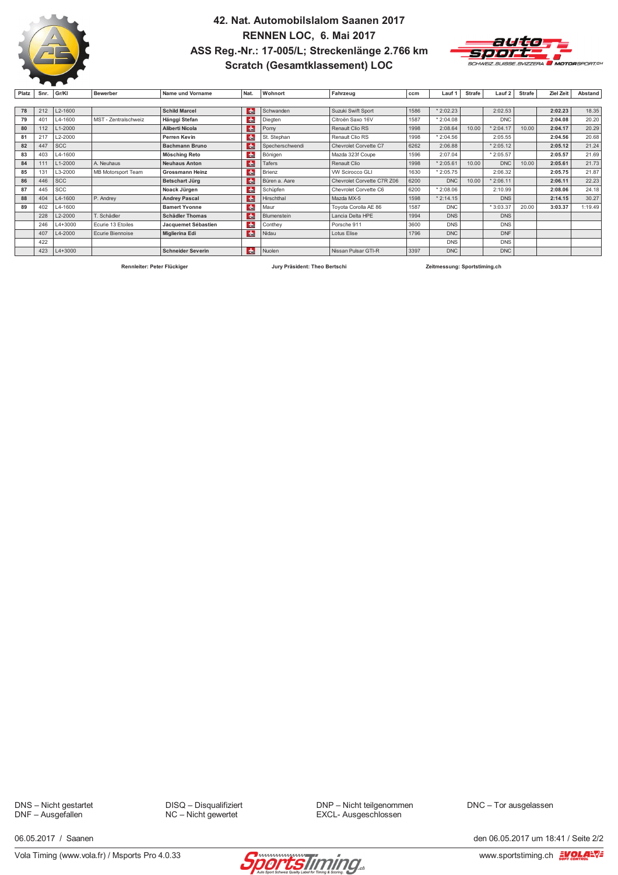

### 42. Nat. Automobilslalom Saanen 2017 RENNEN LOC, 6. Mai 2017 ASS Reg.-Nr.: 17-005/L; Streckenlänge 2.766 km **Scratch (Gesamtklassement) LOC**



| Platz | Snr.            | Gr/KI       | <b>Bewerber</b>      | Name und Vorname         | Nat.          | Wohnort         | Fahrzeug                   | ccm  | Lauf 1     | <b>Strafe</b> | Lauf 2     | Strafe | Ziel Zeit | Abstand |
|-------|-----------------|-------------|----------------------|--------------------------|---------------|-----------------|----------------------------|------|------------|---------------|------------|--------|-----------|---------|
|       |                 |             |                      |                          |               |                 |                            |      |            |               |            |        |           |         |
| 78    | 212             | L2-1600     |                      | <b>Schild Marcel</b>     | dh.           | Schwanden       | Suzuki Swift Sport         | 1586 | * 2:02.23  |               | 2:02.53    |        | 2:02.23   | 18.35   |
| 79    | 40 <sup>4</sup> | L4-1600     | MST - Zentralschweiz | Hänggi Stefan            | dh.           | Diegten         | Citroën Saxo 16V           | 1587 | 2:04.08    |               | <b>DNC</b> |        | 2:04.08   | 20.20   |
| 80    | 112             | L1-2000     |                      | Aliberti Nicola          | d.            | Pomy            | Renault Clio RS            | 1998 | 2:08.64    | 10.00         | $*2:04.17$ | 10.00  | 2:04.17   | 20.29   |
| 81    | 217             | L2-2000     |                      | Perren Kevin             | du.           | St. Stephan     | Renault Clio RS            | 1998 | $*2:04.56$ |               | 2:05.55    |        | 2:04.56   | 20.68   |
| 82    | 447             | <b>SCC</b>  |                      | <b>Bachmann Bruno</b>    | dh.           | Specherschwendi | Chevrolet Corvette C7      | 6262 | 2:06.88    |               | $*2:05.12$ |        | 2:05.12   | 21.24   |
| 83    | 403             | L4-1600     |                      | Mösching Reto            | du.           | Bönigen         | Mazda 323f Coupe           | 1596 | 2:07.04    |               | * 2:05.57  |        | 2:05.57   | 21.69   |
| 84    | 11'             | L1-2000     | A. Neuhaus           | <b>Neuhaus Anton</b>     | $\frac{1}{2}$ | Tafers          | Renault Clio               | 1998 | $*2:05.61$ | 10.00         | <b>DNC</b> | 10.00  | 2:05.61   | 21.73   |
| 85    | 131             | L3-2000     | MB Motorsport Team   | <b>Grossmann Heinz</b>   | d.            | Brienz          | <b>VW Scirocco GLI</b>     | 1630 | $*2:05.75$ |               | 2:06.32    |        | 2:05.75   | 21.87   |
| 86    | 446             | <b>SCC</b>  |                      | <b>Betschart Jürg</b>    | <b>de</b>     | Büren a. Aare   | Chevrolet Corvette C7R Z06 | 6200 | <b>DNC</b> | 10.00         | $*2:06.11$ |        | 2:06.11   | 22.23   |
| 87    | 445             | <b>SCC</b>  |                      | Noack Jürgen             | <b>de</b>     | Schüpfen        | Chevrolet Corvette C6      | 6200 | $*2:08.06$ |               | 2:10.99    |        | 2:08.06   | 24.18   |
| 88    | 404             | L4-1600     | P. Andrey            | <b>Andrey Pascal</b>     | du.           | Hirschthal      | Mazda MX-5                 | 1598 | $*2:14.15$ |               | <b>DNS</b> |        | 2:14.15   | 30.27   |
| 89    | 402             | L4-1600     |                      | <b>Bamert Yvonne</b>     | $\frac{1}{2}$ | Maur            | Toyota Corolla AE 86       | 1587 | <b>DNC</b> |               | * 3:03.37  | 20.00  | 3:03.37   | 1:19.49 |
|       | 228             | L2-2000     | T. Schädler          | <b>Schädler Thomas</b>   | dh.           | Blumenstein     | Lancia Delta HPE           | 1994 | <b>DNS</b> |               | <b>DNS</b> |        |           |         |
|       | 246             | L4+3000     | Ecurie 13 Etoiles    | Jacquemet Sébastien      | du.           | Conthey         | Porsche 911                | 3600 | <b>DNS</b> |               | <b>DNS</b> |        |           |         |
|       | 407             | L4-2000     | Ecurie Biennoise     | <b>Miglierina Edi</b>    | <b>das</b>    | Nidau           | Lotus Elise                | 1796 | <b>DNC</b> |               | <b>DNF</b> |        |           |         |
|       | 422             |             |                      |                          |               |                 |                            |      | <b>DNS</b> |               | <b>DNS</b> |        |           |         |
|       | 423             | $L4 + 3000$ |                      | <b>Schneider Severin</b> | dh.           | Nuolen          | Nissan Pulsar GTI-R        | 3397 | <b>DNC</b> |               | <b>DNC</b> |        |           |         |

Rennleiter: Peter Flückiger

Jury Präsident: Theo Bertschi

Zeitmessung: Sportstiming.ch

DNS - Nicht gestartet DNF - Ausgefallen

DISQ - Disqualifiziert NC - Nicht gewertet

DNP - Nicht teilgenommen EXCL- Ausgeschlossen

DNC - Tor ausgelassen

06 05 2017 / Saanen

Vola Timing (www.vola.fr) / Msports Pro 4.0.33



den 06.05.2017 um 18:41 / Seite 2/2 www.sportstiming.ch  $\frac{2\pi}{\sqrt{2}} \frac{1}{\sqrt{2}} \sqrt{2\pi}$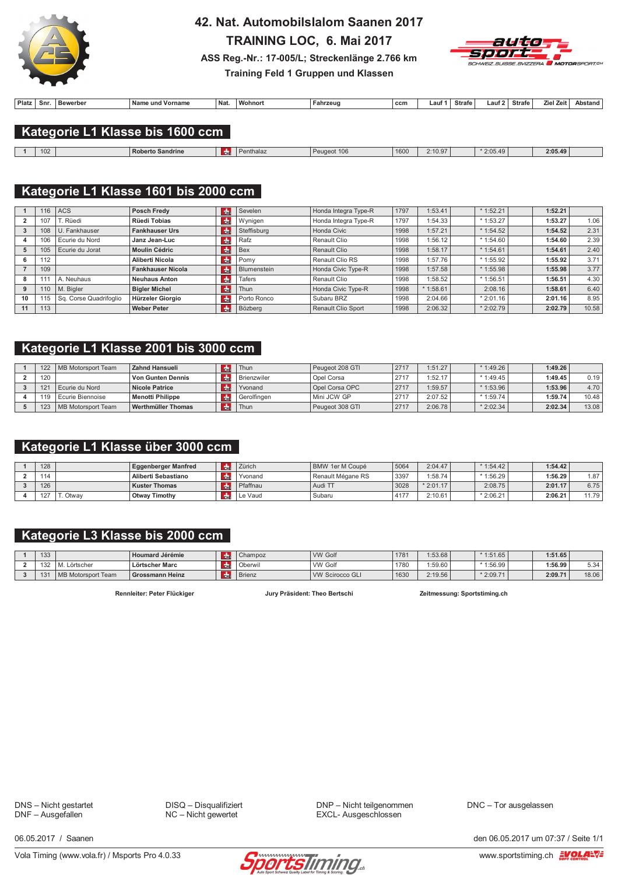

## 42. Nat. Automobilslalom Saanen 2017

TRAINING LOC, 6. Mai 2017



ASS Reg.-Nr.: 17-005/L; Streckenlänge 2.766 km Training Feld 1 Gruppen und Klassen

| <b>Platz</b> | Snr | Bewerber | ⊺Nam⊾<br>ጉ unu<br>orname | ้ Nat | <b>Wohnor</b> | Fahrzeud | ccm | ∟aut | <b>Strafe</b><br>. | - -<br>Lauf | Strafe | Ziel Zei | ,stand |
|--------------|-----|----------|--------------------------|-------|---------------|----------|-----|------|--------------------|-------------|--------|----------|--------|
|              |     |          |                          |       |               |          |     |      |                    |             |        |          |        |

### Kategorie L1 Klasse bis 1600 ccm

| 102 | l Roberto Sandrine | enthalaz | Peugeot 106 | 1600 | 2:10.97 | 2:05.49 | 2:05.49 |  |
|-----|--------------------|----------|-------------|------|---------|---------|---------|--|
|     |                    |          |             |      |         |         |         |  |

## Kategorie L1 Klasse 1601 bis 2000 ccm

|    | 16  | <b>ACS</b>             | Posch Fredy              | <b>de</b>     | Sevelen     | Honda Integra Type-R | 1797 | 1:53.41    | $*1:52.21$  | 1:52.21 |       |
|----|-----|------------------------|--------------------------|---------------|-------------|----------------------|------|------------|-------------|---------|-------|
|    | 107 | T. Rüedi               | Rüedi Tobias             | $ch$          | Wynigen     | Honda Integra Type-R | 1797 | 1:54.33    | $*1:53.27$  | 1:53.27 | 1.06  |
|    | 108 | U. Fankhauser          | <b>Fankhauser Urs</b>    | <b>d</b>      | Steffisburg | Honda Civic          | 1998 | 1:57.21    | $*1:54.52$  | 1:54.52 | 2.31  |
|    | 106 | Ecurie du Nord         | Janz Jean-Luc            | $cm$          | Rafz        | Renault Clio         | 1998 | 1:56.12    | $*1:54.60$  | 1:54.60 | 2.39  |
|    | 105 | Ecurie du Jorat        | <b>Moulin Cédric</b>     | <b>de</b>     | Bex         | Renault Clio         | 1998 | 1:58.17    | $*1:54.61$  | 1:54.61 | 2.40  |
| 6  | 112 |                        | Aliberti Nicola          | <b>du</b>     | Pomy        | Renault Clio RS      | 1998 | 1:57.76    | $*1:55.92$  | 1:55.92 | 3.71  |
|    | 109 |                        | <b>Fankhauser Nicola</b> | de            | Blumenstein | Honda Civic Type-R   | 1998 | 1:57.58    | $*$ 1:55.98 | 1:55.98 | 3.77  |
|    |     | A. Neuhaus             | <b>Neuhaus Anton</b>     | $H_{\rm{th}}$ | Tafers      | Renault Clio         | 1998 | 1:58.52    | $*1:56.51$  | 1:56.51 | 4.30  |
| 9  | 110 | M. Bigler              | <b>Bigler Michel</b>     | l du          | Thun        | Honda Civic Type-R   | 1998 | $*1:58.61$ | 2:08.16     | 1:58.61 | 6.40  |
| 10 | 115 | Sq. Corse Quadrifoglio | Hürzeler Giorgio         | <b>de</b>     | Porto Ronco | Subaru BRZ           | 1998 | 2:04.66    | $*2:01.16$  | 2:01.16 | 8.95  |
| 11 | 113 |                        | <b>Weber Peter</b>       | <b>de</b>     | Bözberg     | Renault Clio Sport   | 1998 | 2:06.32    | $*2:02.79$  | 2:02.79 | 10.58 |

### Kategorie L1 Klasse 2001 bis 3000 ccm

| 122             | MB Motorsport Team | Zahnd Hansueli        |     | Thun        | Peugeot 208 GTI | 2717 | 1:51.27 | * 1:49.26 l | 1:49.26 |       |
|-----------------|--------------------|-----------------------|-----|-------------|-----------------|------|---------|-------------|---------|-------|
| 120             |                    | Von Gunten Dennis     |     | Brienzwiler | Opel Corsa      | 2717 | 1:52.17 | $*1:49.45$  | 1:49.45 | 0.19  |
| 12 <sup>4</sup> | Ecurie du Nord     | <b>Nicole Patrice</b> |     | Yvonand     | Opel Corsa OPC  | 2717 | 1:59.57 | 1:53.96     | 1:53.96 | 4.70  |
| 119             | Ecurie Biennoise   | Menotti Philippe      |     | Gerolfingen | Mini JCW GP     | 2717 | 2:07.52 | $*1:59.74$  | 1:59.74 | 10.48 |
| 123             | MB Motorsport Team | Werthmüller Thomas    | dh. | Thun        | Peugeot 308 GTI | 2717 | 2:06.78 | $*2:02.34$  | 2:02.34 | 13.08 |

## Kategorie L1 Klasse über 3000 ccm

| 128 |         | <b>Eggenberger Manfred</b> | Zürich   | BMW 1er M Coupé   | 5064         | 2:04.47    | $*$ 1:54.42 | 1:54.42 |      |
|-----|---------|----------------------------|----------|-------------------|--------------|------------|-------------|---------|------|
| 114 |         | Aliberti Sebastiano        | Yvonand  | Renault Mégane RS | 3397         | 1:58.74    | $*1:56.29$  | 1:56.29 | 1.87 |
| 126 |         | <b>Kuster Thomas</b>       | Pfaffnau | Audi TT           | 3028         | $*2:01.17$ | 2:08.75     | 2:01.17 | 6.75 |
| 127 | . Otwav | Otway Timothy              | Le Vaud  | Subaru            | $A + T$<br>. | 2:10.61    | $*2:06.21$  | 2:06.21 | 1.79 |

## Kategorie L3 Klasse bis 2000 ccm

| 133        |                                          | <b>Houmard Jérémie</b> | Champoz       | <b>VW Golf</b>  | 1781 | 1:53.68 | $*1:51.65$ | 1:51.65 |       |
|------------|------------------------------------------|------------------------|---------------|-----------------|------|---------|------------|---------|-------|
| 122        | ∟örtscher                                | Lörtscher Marc         | Oberwil       | i VW Golf       | 1780 | :59.60  | $*1:56.99$ | 1:56.99 | 5.34  |
| $\sqrt{2}$ | : Team<br>MB M<br><sup>3</sup> Motorspon | Grossmann Heinz        | <b>Brienz</b> | VW Scirocco GLI | 1630 | 2:19.56 | $*2:09.71$ | 2:09.71 | 18.06 |

Rennleiter: Peter Flückiger

Jury Präsident: Theo Bertschi

Zeitmessung: Sportstiming.ch

DNS - Nicht gestartet DNF - Ausgefallen

DISQ - Disqualifiziert  $NC -$  Nicht gewertet

DNP - Nicht teilgenommen EXCL- Ausgeschlossen

DNC - Tor ausgelassen

06 05 2017 / Saanen



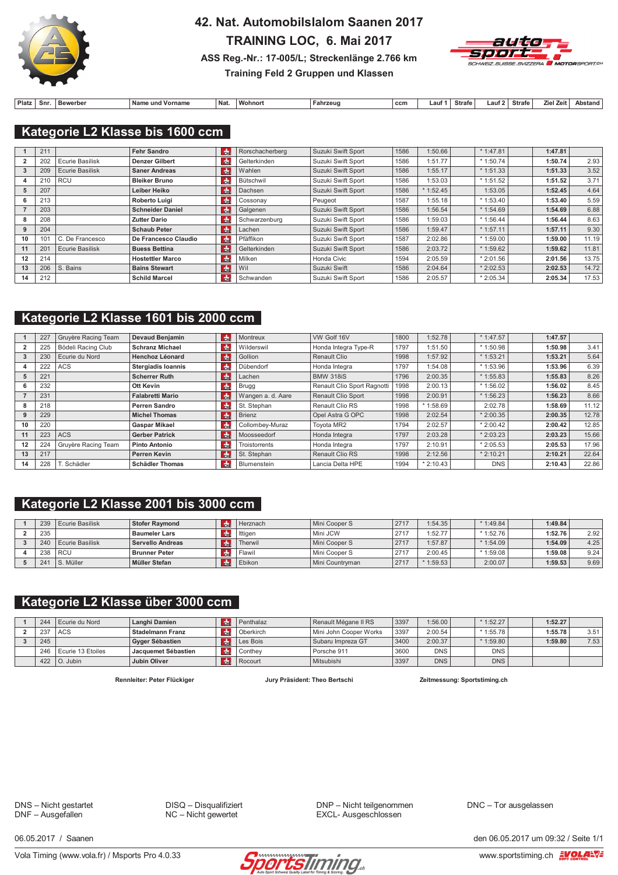

## 42. Nat. Automobilslalom Saanen 2017 TRAINING LOC, 6. Mai 2017



#### ASS Reg.-Nr.: 17-005/L; Streckenlänge 2.766 km Training Feld 2 Gruppen und Klassen

| Plat. | Snr. | Bewerbe | Vorname<br>unc<br>пань | Nat. | 381.<br>wohnor | Fahrzeug | ccm | - | Strafe | ∟aut∶ | <b>Strafe</b> | . .<br><b>7011</b> | \net: |
|-------|------|---------|------------------------|------|----------------|----------|-----|---|--------|-------|---------------|--------------------|-------|

#### Kategorie L2 Klasse bis 1600 ccm

|    | 211 |                        | <b>Fehr Sandro</b>      | l da                  | Rorschacherberg | Suzuki Swift Sport | 1586 | 1:50.66 | $*1:47.81$ | 1:47.81 |       |
|----|-----|------------------------|-------------------------|-----------------------|-----------------|--------------------|------|---------|------------|---------|-------|
|    | 202 | Ecurie Basilisk        | <b>Denzer Gilbert</b>   | $\frac{1}{2}$         | Gelterkinden    | Suzuki Swift Sport | 1586 | 1:51.77 | $*1:50.74$ | 1:50.74 | 2.93  |
|    | 209 | <b>Ecurie Basilisk</b> | <b>Saner Andreas</b>    | Idh⊨                  | Wahlen          | Suzuki Swift Sport | 1586 | 1:55.17 | $*1:51.33$ | 1:51.33 | 3.52  |
| 4  | 210 | <b>RCU</b>             | <b>Bleiker Bruno</b>    | $\frac{1}{2}$         | Bütschwil       | Suzuki Swift Sport | 1586 | 1:53.03 | $*1:51.52$ | 1:51.52 | 3.71  |
| ь  | 207 |                        | Leiber Heiko            | <b>de</b>             | Dachsen         | Suzuki Swift Sport | 1586 | 1:52.45 | 1:53.05    | 1:52.45 | 4.64  |
| 6  | 213 |                        | <b>Roberto Luigi</b>    | <b>de</b>             | Cossonav        | Peugeot            | 1587 | 1:55.18 | $*1:53.40$ | 1:53.40 | 5.59  |
|    | 203 |                        | <b>Schneider Daniel</b> | <b>d</b> <sub>n</sub> | Galgenen        | Suzuki Swift Sport | 1586 | 1:56.54 | $*1:54.69$ | 1:54.69 | 6.88  |
| 8  | 208 |                        | <b>Zutter Dario</b>     | $H_{\rm{th}}$         | Schwarzenburg   | Suzuki Swift Sport | 1586 | 1:59.03 | $*1:56.44$ | 1:56.44 | 8.63  |
| 9  | 204 |                        | <b>Schaub Peter</b>     | l des                 | Lachen          | Suzuki Swift Sport | 1586 | 1:59.47 | $*1:57.11$ | 1:57.11 | 9.30  |
| 10 | 101 | C. De Francesco        | De Francesco Claudio    | <b>Reference</b>      | Pfäffikon       | Suzuki Swift Sport | 1587 | 2:02.86 | $*1:59.00$ | 1:59.00 | 11.19 |
| 11 | 201 | <b>Ecurie Basilisk</b> | <b>Buess Bettina</b>    | l des                 | Gelterkinden    | Suzuki Swift Sport | 1586 | 2:03.72 | $*1:59.62$ | 1:59.62 | 11.81 |
| 12 | 214 |                        | <b>Hostettler Marco</b> | <b>de</b>             | Milken          | Honda Civic        | 1594 | 2:05.59 | $*2:01.56$ | 2:01.56 | 13.75 |
| 13 | 206 | S. Bains               | <b>Bains Stewart</b>    | Idhe                  | Wil             | Suzuki Swift       | 1586 | 2:04.64 | $*2:02.53$ | 2:02.53 | 14.72 |
| 14 | 212 |                        | <b>Schild Marcel</b>    | <b>do</b>             | Schwanden       | Suzuki Swift Sport | 1586 | 2:05.57 | $*2:05.34$ | 2:05.34 | 17.53 |

### Kategorie L2 Klasse 1601 bis 2000 ccm

|    | 227 | Gruyère Racing Team | <b>Devaud Benjamin</b>    | l de           | Montreux             | VW Golf 16V                 | 1800 | 1:52.78    | $*1:47.57$ | 1:47.57 |       |
|----|-----|---------------------|---------------------------|----------------|----------------------|-----------------------------|------|------------|------------|---------|-------|
|    | 225 | Bödeli Racing Club  | <b>Schranz Michael</b>    | $\frac{1}{2}$  | Wilderswil           | Honda Integra Type-R        | 1797 | 1:51.50    | $*1:50.98$ | 1:50.98 | 3.41  |
|    | 230 | Ecurie du Nord      | <b>Henchoz Léonard</b>    | <b>de</b>      | Gollion              | <b>Renault Clio</b>         | 1998 | 1:57.92    | $*1:53.21$ | 1:53.21 | 5.64  |
|    | 222 | <b>ACS</b>          | <b>Stergiadis Ioannis</b> | $\frac{1}{2}$  | Dübendorf            | Honda Integra               | 1797 | 1:54.08    | $*1:53.96$ | 1:53.96 | 6.39  |
|    | 221 |                     | <b>Scherrer Ruth</b>      | l da           | Lachen               | <b>BMW 318iS</b>            | 1796 | 2:00.35    | $*1:55.83$ | 1:55.83 | 8.26  |
| 6  | 232 |                     | Ott Kevin                 | $\frac{1}{2}$  | Brugg                | Renault Clio Sport Ragnotti | 1998 | 2:00.13    | $*1:56.02$ | 1:56.02 | 8.45  |
|    | 231 |                     | <b>Falabretti Mario</b>   | H <sub>0</sub> | Wangen a. d. Aare    | Renault Clio Sport          | 1998 | 2:00.91    | $*1:56.23$ | 1:56.23 | 8.66  |
| 8  | 218 |                     | <b>Perren Sandro</b>      | $\frac{1}{2}$  | St. Stephan          | Renault Clio RS             | 1998 | $*1:58.69$ | 2:02.78    | 1:58.69 | 11.12 |
|    | 229 |                     | <b>Michel Thomas</b>      | <b>de</b>      | Brienz               | Opel Astra G OPC            | 1998 | 2:02.54    | 2:00.35    | 2:00.35 | 12.78 |
| 10 | 220 |                     | <b>Gaspar Mikael</b>      | $\frac{1}{2}$  | Collombey-Muraz      | Tovota MR2                  | 1794 | 2:02.57    | $*2:00.42$ | 2:00.42 | 12.85 |
|    | 223 | <b>ACS</b>          | <b>Gerber Patrick</b>     | d <sub>n</sub> | Moosseedorf          | Honda Integra               | 1797 | 2:03.28    | $*2:03.23$ | 2:03.23 | 15.66 |
| 12 | 224 | Gruyère Racing Team | <b>Pinto Antonio</b>      | $\frac{1}{2}$  | <b>Troistorrents</b> | Honda Integra               | 1797 | 2:10.91    | $*2:05.53$ | 2:05.53 | 17.96 |
| 13 | 217 |                     | <b>Perren Kevin</b>       | <b>de</b>      | St. Stephan          | <b>Renault Clio RS</b>      | 1998 | 2:12.56    | $*2:10.21$ | 2:10.21 | 22.64 |
| 14 | 228 | T. Schädler         | <b>Schädler Thomas</b>    | $\frac{1}{2}$  | Blumenstein          | Lancia Delta HPE            | 1994 | $*2:10.43$ | <b>DNS</b> | 2:10.43 | 22.86 |

### Kategorie L2 Klasse 2001 bis 3000 ccm

| 239 | Ecurie Basilisk | <b>Stofer Ravmond</b> | Herznach | Mini Cooper S     | 2717 | 1:54.35    | $*1:49.84$ | 1:49.84 |      |
|-----|-----------------|-----------------------|----------|-------------------|------|------------|------------|---------|------|
| 235 |                 | <b>Baumeler Lars</b>  | Ittigen  | Mini JCW          | 2717 | 1:52.77    | $*1:52.76$ | 1:52.76 | 2.92 |
| 240 | Ecurie Basilisk | Servello Andreas      | Therwil  | Mini Cooper S     | 2717 | 1:57.87    | $*1:54.09$ | 1:54.09 | 4.25 |
| 238 | l RCU           | <b>Brunner Peter</b>  | ' Flawn  | Mini Cooper S     | 2717 | 2:00.45    | $*1:59.08$ | 1:59.08 | 9.24 |
| 241 | S. Müller       | Müller Stefan         | Ebikon   | l Mini Countryman | 2717 | $*1:59.53$ | 2:00.07    | 1:59.53 | 9.69 |

### Kategorie L2 Klasse über 3000 ccm

| 244 | Ecurie du Nord       | Langhi Damien       | Penthalaz   | Renault Mégane II RS   | 3397 | 1:56.00    | $*1:52.27$ | 1:52.27 |      |
|-----|----------------------|---------------------|-------------|------------------------|------|------------|------------|---------|------|
| 237 | l ACS                | Stadelmann Franz    | l Oberkirch | Mini John Cooper Works | 3397 | 2:00.54    | $*1:55.78$ | 1:55.78 | 3.51 |
| 245 |                      | Gyger Sébastien     | Les Bois    | l Subaru Impreza GT    | 3400 | 2:00.37    | $*1:59.80$ | 1:59.80 | 7.53 |
| 246 | l Ecurie 13 Etoiles  | Jacquemet Sébastien | Conthey     | Porsche 911            | 3600 | <b>DNS</b> | <b>DNS</b> |         |      |
|     | 422 $\vert$ O. Jubin | Jubin Oliver        | Rocourt     | Mitsubishi             | 3397 | <b>DNS</b> | <b>DNS</b> |         |      |

Rennleiter: Peter Flückiger

Jury Präsident: Theo Bertschi

Zeitmessung: Sportstiming.ch

DNS - Nicht gestartet DNF - Ausgefallen

DISQ - Disqualifiziert  $NC -$  Nicht gewertet

DNP - Nicht teilgenommen EXCL- Ausgeschlossen

DNC - Tor ausgelassen

06 05 2017 / Saanen

Vola Timing (www.vola.fr) / Msports Pro 4.0.33



den 06.05.2017 um 09:32 / Seite 1/1 www.sportstiming.ch EVOLA-VE